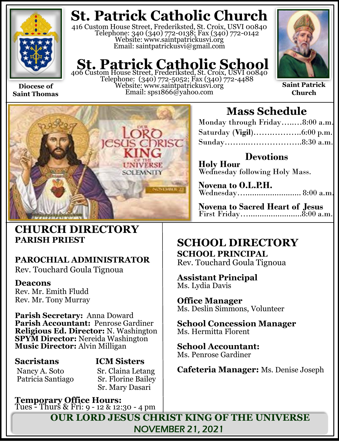

**Saint Thomas**

**St. Patrick Catholic Church**

416 Custom House Street, Frederiksted, St. Croix, USVI 00840 Telephone: 340 (340) 772-0138; Fax (340) 772-0142 Website: www.saintpatrickusvi.org Email: saintpatrickusvi@gmail.com

## **St. Patrick Catholic School**<br>406 Custom House Street, Frederiksted, St. Croix, USVI 00840

Telephone: (340) 772-5052; Fax (340) 772-4488 Website: www.saintpatrickusvi.org Email: sps1866@yahoo.com



**Saint Patrick Church**



## **CHURCH DIRECTORY PARISH PRIEST**

## **PAROCHIAL ADMINISTRATOR**

Rev. Touchard Goula Tignoua

### **Deacons**

Rev. Mr. Emith Fludd Rev. Mr. Tony Murray

**Parish Secretary:** Anna Doward **Parish Accountant:** Penrose Gardiner **Religious Ed. Director:** N. Washington **SPYM Director:** Nereida Washington **Music Director:** Alvin Milligan

## **Sacristans ICM Sisters**

Nancy A. Soto Sr. Claina Letang<br>Patricia Santiago Sr. Florine Bailey **Sr. Florine Bailey** Sr. Mary Dasari

**Temporary Office Hours:**  Tues - Thurs & Fri: 9 - 12 & 12:30 - 4 pm

## **Mass Schedule**

| Monday through Friday8:00 a.m. |  |
|--------------------------------|--|
|                                |  |
|                                |  |

**Devotions Holy Hour**  Wednesday following Holy Mass.

**Novena to O.L.P.H.** Wednesday…......................... 8:00 a.m.

**Novena to Sacred Heart of Jesus** First Friday…........................8:00 a.m.

### **SCHOOL DIRECTORY SCHOOL PRINCIPAL**

Rev. Touchard Goula Tignoua

**Assistant Principal** Ms. Lydia Davis

**Office Manager** Ms. Deslin Simmons, Volunteer

**School Concession Manager** Ms. Hermitta Florent

**School Accountant:**  Ms. Penrose Gardiner

**Cafeteria Manager:** Ms. Denise Joseph

**OUR LORD JESUS CHRIST KING OF THE UNIVERSE** NOVEMBER 21, 2021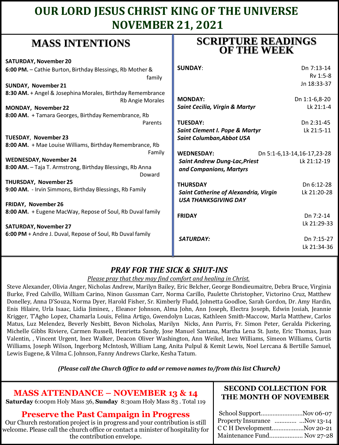## **OUR LORD JESUS CHRIST KING OF THE UNIVERSE NOVEMBER 21, 2021**

## **MASS INTENTIONS**

| <b>SATURDAY, November 20</b>                                        |                                           |                            |
|---------------------------------------------------------------------|-------------------------------------------|----------------------------|
| 6:00 PM. - Cathie Burton, Birthday Blessings, Rb Mother &           | <b>SUNDAY:</b>                            | Dn 7:13-14                 |
| family                                                              |                                           | Rv 1:5-8                   |
| <b>SUNDAY, November 21</b>                                          |                                           | Jn 18:33-37                |
| 8:30 AM. + Angel & Josephina Morales, Birthday Remembrance          |                                           |                            |
| Rb Angie Morales                                                    | <b>MONDAY:</b>                            | Dn 1:1-6,8-20              |
| <b>MONDAY, November 22</b>                                          | <b>Saint Cecilia, Virgin &amp; Martyr</b> | Lk 21:1-4                  |
| 8:00 AM. + Tamara Georges, Birthday Remembrance, Rb                 |                                           |                            |
| Parents                                                             | <b>TUESDAY:</b>                           | Dn 2:31-45                 |
|                                                                     | <b>Saint Clement I. Pope &amp; Martyr</b> | Lk 21:5-11                 |
| TUESDAY, November 23                                                | Saint Columban, Abbot USA                 |                            |
| 8:00 AM. + Mae Louise Williams, Birthday Remembrance, Rb            |                                           |                            |
| Family                                                              | <b>WEDNESDAY:</b>                         | Dn 5:1-6,13-14,16-17,23-28 |
| <b>WEDNESDAY, November 24</b>                                       | <b>Saint Andrew Dung-Lac, Priest</b>      | Lk 21:12-19                |
| 8:00 AM. - Taja T. Armstrong, Birthday Blessings, Rb Anna<br>Doward | and Companions, Martyrs                   |                            |
| <b>THURSDAY, November 25</b>                                        | <b>THURSDAY</b>                           | Dn 6:12-28                 |
| 9:00 AM. - Irvin Simmons, Birthday Blessings, Rb Family             | Saint Catherine of Alexandria, Virgin     | Lk 21:20-28                |
|                                                                     | <b>USA THANKSGIVING DAY</b>               |                            |
| FRIDAY, November 26                                                 |                                           |                            |
| 8:00 AM. + Eugene MacWay, Repose of Soul, Rb Duval family           | <b>FRIDAY</b>                             | Dn 7:2-14                  |
|                                                                     |                                           | Lk 21:29-33                |
| <b>SATURDAY, November 27</b>                                        |                                           |                            |
| 6:00 PM + Andre J. Duval, Repose of Soul, Rb Duval family           |                                           |                            |
|                                                                     | <b>SATURDAY:</b>                          | Dn 7:15-27                 |
|                                                                     |                                           | Lk 21:34-36                |

### *PRAY FOR THE SICK & SHUT-INS*

*Please pray that they may find comfort and healing in Christ.*

Steve Alexander, Olivia Anger, Nicholas Andrew, Marilyn Bailey, Eric Belcher, George Bondieumaitre, Debra Bruce, Virginia Burke, Fred Calvillo, William Carino, Ninon Gussman Carr, Norma Carillo, Paulette Christopher, Victorino Cruz, Matthew Donelley, Anna D'Souza, Norma Dyer, Harold Fisher, Sr. Kimberly Fludd, Johnetta Goodloe, Sarah Gordon, Dr. Amy Hardin, Enis Hilaire, Urla Isaac, Lidia Jiminez, , Eleanor Johnson, Alma John, Ann Joseph, Electra Joseph, Edwin Josiah, Jeannie Krigger, T'Agho Lopez, Chamarla Louis, Felina Artigo, Gwendolyn Lucas, Kathleen Smith-Maccow, Marla Matthew, Carlos Matus, Luz Melendez, Beverly Nesbitt, Bevon Nicholas, Marilyn Nicks, Ann Parris, Fr. Simon Peter, Geralda Pickering, Michelle Gibbs Riviere, Carmen Russell, Henrietta Sandy, Jose Manuel Santana, Martha Lena St. Juste, Eric Thomas, Juan Valentin, , Vincent Urgent, Inez Walker, Deacon Oliver Washington, Ann Weikel, Inez Williams, Simeon Williams, Curtis Williams, Joseph Wilson, Ingerborg McIntosh, William Lang, Anita Pulpul & Kemit Lewis, Noel Lercana & Bertille Samuel, Lewis Eugene, & Vilma C. Johnson, Fanny Andrews Clarke, Kesha Tatum.

*(Please call the Church Office to add or remove names to/from this list Church)*

### **MASS ATTENDANCE – NOVEMBER 13 & 14**

**Saturday** 6:00pm Holy Mass 36, **Sunday** 8:30am Holy Mass 83 . Total 119

### **Preserve the Past Campaign in Progress**

Our Church restoration project is in progress and your contribution is still welcome. Please call the church office or contact a minister of hospitality for the contribution envelope.

#### **SECOND COLLECTION FOR THE MONTH OF NOVEMBER**

| School SupportNov 06-07      |
|------------------------------|
| Property Insurance Nov 13-14 |
| C C H DevelopmentNov 20-21   |
| Maintenance Fund Nov 27-28   |
|                              |

## **SCRIPTURE READINGS OF THE WEEK**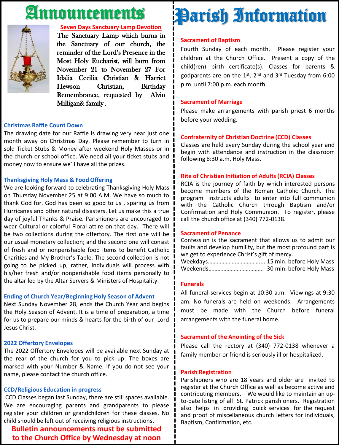## Announcements



#### **Seven Days Sanctuary Lamp Devotion**

The Sanctuary Lamp which burns in the Sanctuary of our church, the reminder of the Lord's Presence in the Most Holy Eucharist, will burn from November 21 to November 27 For Idalia Cecilia Christian & Harriet Hewson Christian, Birthday Remembrance, requested by Alvin Milligan& family .

#### **Christmas Raffle Count Down**

The drawing date for our Raffle is drawing very near just one month away on Christmas Day. Please remember to turn in sold Ticket Stubs & Money after weekend Holy Masses or in the church or school office. We need all your ticket stubs and money now to ensure we'll have all the prizes.

#### **Thanksgiving Holy Mass & Food Offering**

We are looking forward to celebrating Thanksgiving Holy Mass on Thursday November 25 at 9:00 A.M. We have so much to thank God for. God has been so good to us , sparing us from Hurricanes and other natural disasters. Let us make this a true day of joyful Thanks & Praise. Parishioners are encouraged to wear Cultural or colorful Floral attire on that day. There will be two collections during the offertory. The first one will be our usual monetary collection; and the second one will consist of fresh and or nonperishable food items to benefit Catholic Charities and My Brother's Table. The second collection is not going to be picked up, rather, individuals will process with his/her fresh and/or nonperishable food items personally to the altar led by the Altar Servers & Ministers of Hospitality.

#### **Ending of Church Year/Beginning Holy Season of Advent**

Next Sunday November 28, ends the Church Year and begins the Holy Season of Advent. It is a time of preparation, a time for us to prepare our minds & hearts for the birth of our Lord Jesus Christ.

#### **2022 Offertory Envelopes**

The 2022 Offertory Envelopes will be available next Sunday at the rear of the church for you to pick up. The boxes are marked with your Number & Name. If you do not see your name, please contact the church office.

#### **CCD/Religious Education in progress**

CCD Classes began last Sunday, there are still spaces available. We are encouraging parents and grandparents to please register your children or grandchildren for these classes. No child should be left out of receiving religious instructions.

**Bulletin announcements must be submitted to the Church Office by Wednesday at noon**

# Parish Information

#### **Sacrament of Baptism**

Fourth Sunday of each month. Please register your children at the Church Office. Present a copy of the child(ren) birth certificate(s). Classes for parents & godparents are on the 1st, 2<sup>nd</sup> and 3<sup>rd</sup> Tuesday from 6:00 p.m. until 7:00 p.m. each month.

#### **Sacrament of Marriage**

Please make arrangements with parish priest 6 months before your wedding.

#### **Confraternity of Christian Doctrine (CCD) Classes**

Classes are held every Sunday during the school year and begin with attendance and instruction in the classroom following 8:30 a.m. Holy Mass.

#### **Rite of Christian Initiation of Adults (RCIA) Classes**

RCIA is the journey of faith by which interested persons become members of the Roman Catholic Church. The program instructs adults to enter into full communion with the Catholic Church through Baptism and/or Confirmation and Holy Communion. To register, please call the church office at (340) 772-0138.

#### **Sacrament of Penance**

Confession is the sacrament that allows us to admit our faults and develop humility, but the most profound part is we get to experience Christ's gift of mercy.

Weekdays……………….…………….... 15 min. before Holy Mass Weekends………………………………. 30 min. before Holy Mass

#### **Funerals**

All funeral services begin at 10:30 a.m. Viewings at 9:30 am. No funerals are held on weekends. Arrangements must be made with the Church before funeral arrangements with the funeral home.

#### **Sacrament of the Anointing of the Sick**

Please call the rectory at (340) 772-0138 whenever a family member or friend is seriously ill or hospitalized.

#### **Parish Registration**

Parishioners who are 18 years and older are invited to register at the Church Office as well as become active and contributing members. We would like to maintain an upto-date listing of all St. Patrick parishioners. Registration also helps in providing quick services for the request and proof of miscellaneous church letters for individuals, Baptism, Confirmation, etc.